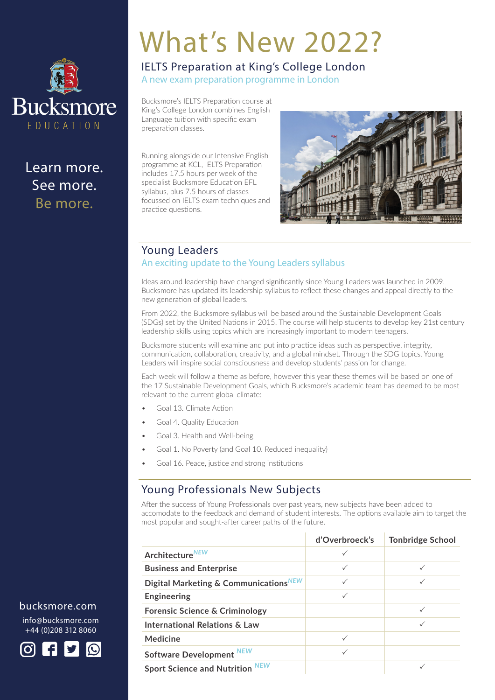

Learn more. See more. Be more.

# What's New 2022?

## IELTS Preparation at King's College London

A new exam preparation programme in London

Bucksmore's IELTS Preparation course at King's College London combines English Language tuition with specific exam preparation classes.

Running alongside our Intensive English programme at KCL, IELTS Preparation includes 17.5 hours per week of the specialist Bucksmore Education EFL syllabus, plus 7.5 hours of classes focussed on IELTS exam techniques and practice questions.



### Young Leaders An exciting update to the Young Leaders syllabus

Ideas around leadership have changed significantly since Young Leaders was launched in 2009. Bucksmore has updated its leadership syllabus to reflect these changes and appeal directly to the new generation of global leaders.

From 2022, the Bucksmore syllabus will be based around the Sustainable Development Goals (SDGs) set by the United Nations in 2015. The course will help students to develop key 21st century leadership skills using topics which are increasingly important to modern teenagers.

Bucksmore students will examine and put into practice ideas such as perspective, integrity, communication, collaboration, creativity, and a global mindset. Through the SDG topics, Young Leaders will inspire social consciousness and develop students' passion for change.

Each week will follow a theme as before, however this year these themes will be based on one of the 17 Sustainable Development Goals, which Bucksmore's academic team has deemed to be most relevant to the current global climate:

- Goal 13. Climate Action
- Goal 4. Quality Education
- Goal 3. Health and Well-being
- Goal 1. No Poverty (and Goal 10. Reduced inequality)
- Goal 16. Peace, justice and strong institutions

### Young Professionals New Subjects

After the success of Young Professionals over past years, new subjects have been added to accomodate to the feedback and demand of student interests. The options available aim to target the most popular and sought-after career paths of the future.

|                                                   | d'Overbroeck's | <b>Tonbridge School</b> |
|---------------------------------------------------|----------------|-------------------------|
| Architecture <sup>NEW</sup>                       |                |                         |
| <b>Business and Enterprise</b>                    |                |                         |
| Digital Marketing & Communications <sup>NEW</sup> |                |                         |
| <b>Engineering</b>                                |                |                         |
| <b>Forensic Science &amp; Criminology</b>         |                |                         |
| International Relations & Law                     |                |                         |
| <b>Medicine</b>                                   |                |                         |
| Software Development NEW                          |                |                         |
| <b>Sport Science and Nutrition NEW</b>            |                |                         |

### bucksmore.com

info@bucksmore.com +44 (0)208 312 8060